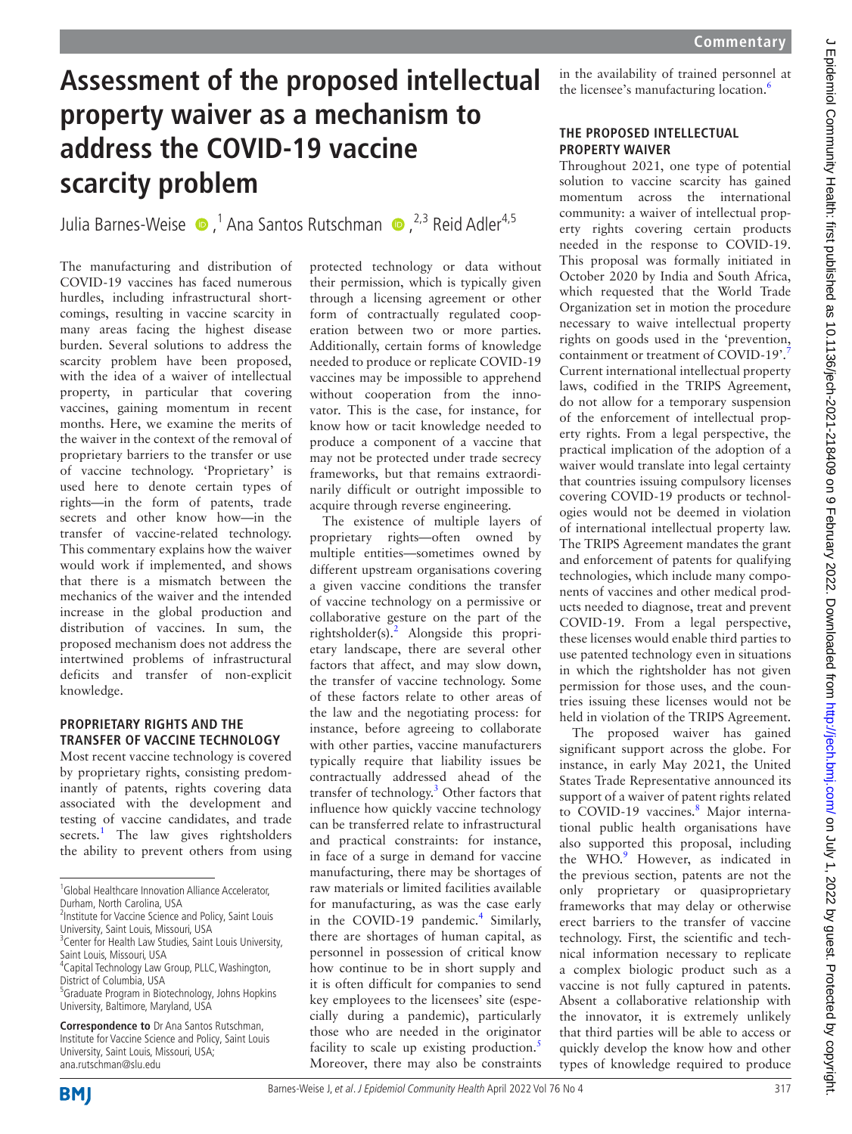$\epsilon$ 

# **Assessment of the proposed intellectual property waiver as a mechanism to address the COVID-19 vaccine scarcity problem**

JuliaBarnes-Weise  $\bullet$ ,<sup>1</sup> Ana Santos Rutschman  $\bullet$ ,<sup>2,3</sup> Reid Adler<sup>4,5</sup>

The manufacturing and distribution of COVID-19 vaccines has faced numerous hurdles, including infrastructural shortcomings, resulting in vaccine scarcity in many areas facing the highest disease burden. Several solutions to address the scarcity problem have been proposed, with the idea of a waiver of intellectual property, in particular that covering vaccines, gaining momentum in recent months. Here, we examine the merits of the waiver in the context of the removal of proprietary barriers to the transfer or use of vaccine technology. 'Proprietary' is used here to denote certain types of rights—in the form of patents, trade secrets and other know how—in the transfer of vaccine-related technology. This commentary explains how the waiver would work if implemented, and shows that there is a mismatch between the mechanics of the waiver and the intended increase in the global production and distribution of vaccines. In sum, the proposed mechanism does not address the intertwined problems of infrastructural deficits and transfer of non-explicit knowledge.

## **PROPRIETARY RIGHTS AND THE TRANSFER OF VACCINE TECHNOLOGY**

Most recent vaccine technology is covered by proprietary rights, consisting predominantly of patents, rights covering data associated with the development and testing of vaccine candidates, and trade secrets.<sup>[1](#page-1-0)</sup> The law gives rightsholders the ability to prevent others from using

University, Saint Louis, Missouri, USA; ana.rutschman@slu.edu

protected technology or data without their permission, which is typically given through a licensing agreement or other form of contractually regulated cooperation between two or more parties. Additionally, certain forms of knowledge needed to produce or replicate COVID-19 vaccines may be impossible to apprehend without cooperation from the innovator. This is the case, for instance, for know how or tacit knowledge needed to produce a component of a vaccine that may not be protected under trade secrecy frameworks, but that remains extraordinarily difficult or outright impossible to acquire through reverse engineering.

The existence of multiple layers of proprietary rights—often owned by multiple entities—sometimes owned by different upstream organisations covering a given vaccine conditions the transfer of vaccine technology on a permissive or collaborative gesture on the part of the rightsholder(s).<sup>[2](#page-1-1)</sup> Alongside this proprietary landscape, there are several other factors that affect, and may slow down, the transfer of vaccine technology. Some of these factors relate to other areas of the law and the negotiating process: for instance, before agreeing to collaborate with other parties, vaccine manufacturers typically require that liability issues be contractually addressed ahead of the transfer of technology.<sup>3</sup> Other factors that influence how quickly vaccine technology can be transferred relate to infrastructural and practical constraints: for instance, in face of a surge in demand for vaccine manufacturing, there may be shortages of raw materials or limited facilities available for manufacturing, as was the case early in the COVID-19 pandemic.<sup>[4](#page-1-3)</sup> Similarly, there are shortages of human capital, as personnel in possession of critical know how continue to be in short supply and it is often difficult for companies to send key employees to the licensees' site (especially during a pandemic), particularly those who are needed in the originator facility to scale up existing production.<sup>5</sup> Moreover, there may also be constraints

in the availability of trained personnel at the licensee's manufacturing location.<sup>6</sup>

# **THE PROPOSED INTELLECTUAL PROPERTY WAIVER**

Throughout 2021, one type of potential solution to vaccine scarcity has gained momentum across the international community: a waiver of intellectual property rights covering certain products needed in the response to COVID-19. This proposal was formally initiated in October 2020 by India and South Africa, which requested that the World Trade Organization set in motion the procedure necessary to waive intellectual property rights on goods used in the 'prevention, containment or treatment of COVID-19'.<sup>[7](#page-1-6)</sup> Current international intellectual property laws, codified in the TRIPS Agreement, do not allow for a temporary suspension of the enforcement of intellectual property rights. From a legal perspective, the practical implication of the adoption of a waiver would translate into legal certainty that countries issuing compulsory licenses covering COVID-19 products or technologies would not be deemed in violation of international intellectual property law. The TRIPS Agreement mandates the grant and enforcement of patents for qualifying technologies, which include many components of vaccines and other medical products needed to diagnose, treat and prevent COVID-19. From a legal perspective, these licenses would enable third parties to use patented technology even in situations in which the rightsholder has not given permission for those uses, and the countries issuing these licenses would not be held in violation of the TRIPS Agreement. The proposed waiver has gained

significant support across the globe. For instance, in early May 2021, the United States Trade Representative announced its support of a waiver of patent rights related to COVID-19 vaccines.<sup>8</sup> Major international public health organisations have also supported this proposal, including the WHO.<sup>[9](#page-1-8)</sup> However, as indicated in the previous section, patents are not the only proprietary or quasiproprietary frameworks that may delay or otherwise erect barriers to the transfer of vaccine technology. First, the scientific and technical information necessary to replicate a complex biologic product such as a vaccine is not fully captured in patents. Absent a collaborative relationship with the innovator, it is extremely unlikely that third parties will be able to access or quickly develop the know how and other types of knowledge required to produce



<sup>&</sup>lt;sup>1</sup>Global Healthcare Innovation Alliance Accelerator, Durham, North Carolina, USA

<sup>&</sup>lt;sup>2</sup>Institute for Vaccine Science and Policy, Saint Louis University, Saint Louis, Missouri, USA

<sup>&</sup>lt;sup>3</sup> Center for Health Law Studies, Saint Louis University,

Saint Louis, Missouri, USA 4 Capital Technology Law Group, PLLC, Washington, District of Columbia, USA

<sup>5</sup> Graduate Program in Biotechnology, Johns Hopkins University, Baltimore, Maryland, USA

**Correspondence to** Dr Ana Santos Rutschman, Institute for Vaccine Science and Policy, Saint Louis